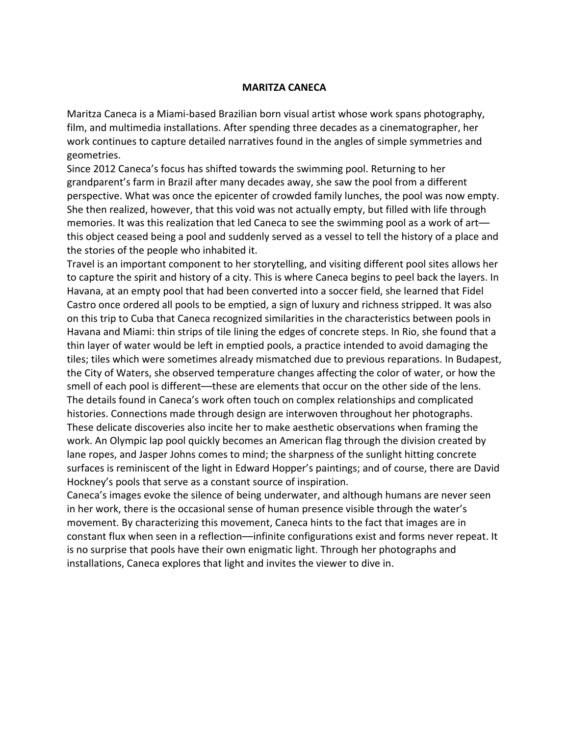## **MARITZA CANECA**

Maritza Caneca is a Miami-based Brazilian born visual artist whose work spans photography, film, and multimedia installations. After spending three decades as a cinematographer, her work continues to capture detailed narratives found in the angles of simple symmetries and geometries.

Since 2012 Caneca's focus has shifted towards the swimming pool. Returning to her grandparent's farm in Brazil after many decades away, she saw the pool from a different perspective. What was once the epicenter of crowded family lunches, the pool was now empty. She then realized, however, that this void was not actually empty, but filled with life through memories. It was this realization that led Caneca to see the swimming pool as a work of art this object ceased being a pool and suddenly served as a vessel to tell the history of a place and the stories of the people who inhabited it.

Travel is an important component to her storytelling, and visiting different pool sites allows her to capture the spirit and history of a city. This is where Caneca begins to peel back the layers. In Havana, at an empty pool that had been converted into a soccer field, she learned that Fidel Castro once ordered all pools to be emptied, a sign of luxury and richness stripped. It was also on this trip to Cuba that Caneca recognized similarities in the characteristics between pools in Havana and Miami: thin strips of tile lining the edges of concrete steps. In Rio, she found that a thin layer of water would be left in emptied pools, a practice intended to avoid damaging the tiles; tiles which were sometimes already mismatched due to previous reparations. In Budapest, the City of Waters, she observed temperature changes affecting the color of water, or how the smell of each pool is different––these are elements that occur on the other side of the lens. The details found in Caneca's work often touch on complex relationships and complicated histories. Connections made through design are interwoven throughout her photographs. These delicate discoveries also incite her to make aesthetic observations when framing the work. An Olympic lap pool quickly becomes an American flag through the division created by lane ropes, and Jasper Johns comes to mind; the sharpness of the sunlight hitting concrete surfaces is reminiscent of the light in Edward Hopper's paintings; and of course, there are David Hockney's pools that serve as a constant source of inspiration.

Caneca's images evoke the silence of being underwater, and although humans are never seen in her work, there is the occasional sense of human presence visible through the water's movement. By characterizing this movement, Caneca hints to the fact that images are in constant flux when seen in a reflection––infinite configurations exist and forms never repeat. It is no surprise that pools have their own enigmatic light. Through her photographs and installations, Caneca explores that light and invites the viewer to dive in.